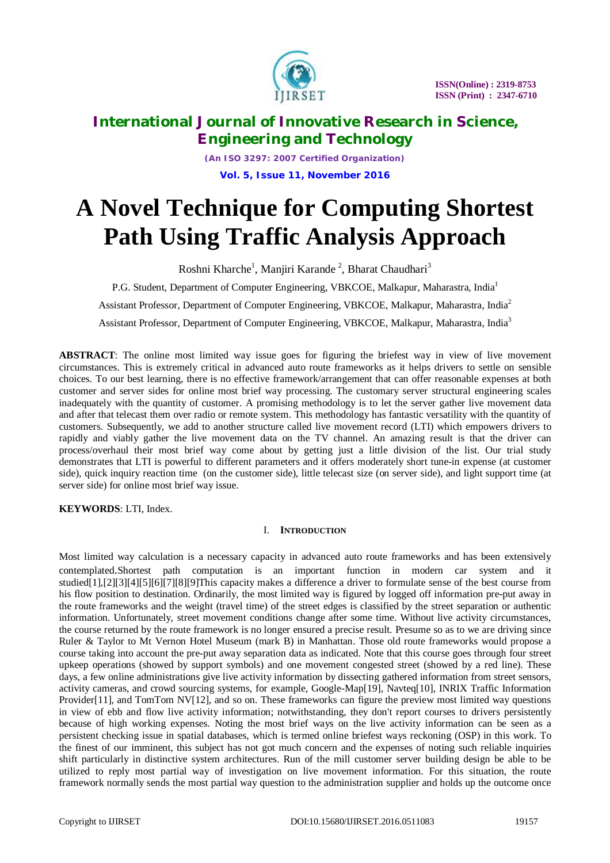

*(An ISO 3297: 2007 Certified Organization)* **Vol. 5, Issue 11, November 2016**

# **A Novel Technique for Computing Shortest Path Using Traffic Analysis Approach**

Roshni Kharche<sup>1</sup>, Manjiri Karande<sup>2</sup>, Bharat Chaudhari<sup>3</sup>

P.G. Student, Department of Computer Engineering, VBKCOE, Malkapur, Maharastra, India<sup>1</sup>

Assistant Professor, Department of Computer Engineering, VBKCOE, Malkapur, Maharastra, India<sup>2</sup>

Assistant Professor, Department of Computer Engineering, VBKCOE, Malkapur, Maharastra, India<sup>3</sup>

**ABSTRACT**: The online most limited way issue goes for figuring the briefest way in view of live movement circumstances. This is extremely critical in advanced auto route frameworks as it helps drivers to settle on sensible choices. To our best learning, there is no effective framework/arrangement that can offer reasonable expenses at both customer and server sides for online most brief way processing. The customary server structural engineering scales inadequately with the quantity of customer. A promising methodology is to let the server gather live movement data and after that telecast them over radio or remote system. This methodology has fantastic versatility with the quantity of customers. Subsequently, we add to another structure called live movement record (LTI) which empowers drivers to rapidly and viably gather the live movement data on the TV channel. An amazing result is that the driver can process/overhaul their most brief way come about by getting just a little division of the list. Our trial study demonstrates that LTI is powerful to different parameters and it offers moderately short tune-in expense (at customer side), quick inquiry reaction time (on the customer side), little telecast size (on server side), and light support time (at server side) for online most brief way issue.

**KEYWORDS**: LTI, Index.

# I. **INTRODUCTION**

Most limited way calculation is a necessary capacity in advanced auto route frameworks and has been extensively contemplated.Shortest path computation is an important function in modern car system and it studied[1],[2][3][4][5][6][7][8][9]This capacity makes a difference a driver to formulate sense of the best course from his flow position to destination. Ordinarily, the most limited way is figured by logged off information pre-put away in the route frameworks and the weight (travel time) of the street edges is classified by the street separation or authentic information. Unfortunately, street movement conditions change after some time. Without live activity circumstances, the course returned by the route framework is no longer ensured a precise result. Presume so as to we are driving since Ruler & Taylor to Mt Vernon Hotel Museum (mark B) in Manhattan. Those old route frameworks would propose a course taking into account the pre-put away separation data as indicated. Note that this course goes through four street upkeep operations (showed by support symbols) and one movement congested street (showed by a red line). These days, a few online administrations give live activity information by dissecting gathered information from street sensors, activity cameras, and crowd sourcing systems, for example, Google-Map[19], Navteq[10], INRIX Traffic Information Provider[11], and TomTom NV[12], and so on. These frameworks can figure the preview most limited way questions in view of ebb and flow live activity information; notwithstanding, they don't report courses to drivers persistently because of high working expenses. Noting the most brief ways on the live activity information can be seen as a persistent checking issue in spatial databases, which is termed online briefest ways reckoning (OSP) in this work. To the finest of our imminent, this subject has not got much concern and the expenses of noting such reliable inquiries shift particularly in distinctive system architectures. Run of the mill customer server building design be able to be utilized to reply most partial way of investigation on live movement information. For this situation, the route framework normally sends the most partial way question to the administration supplier and holds up the outcome once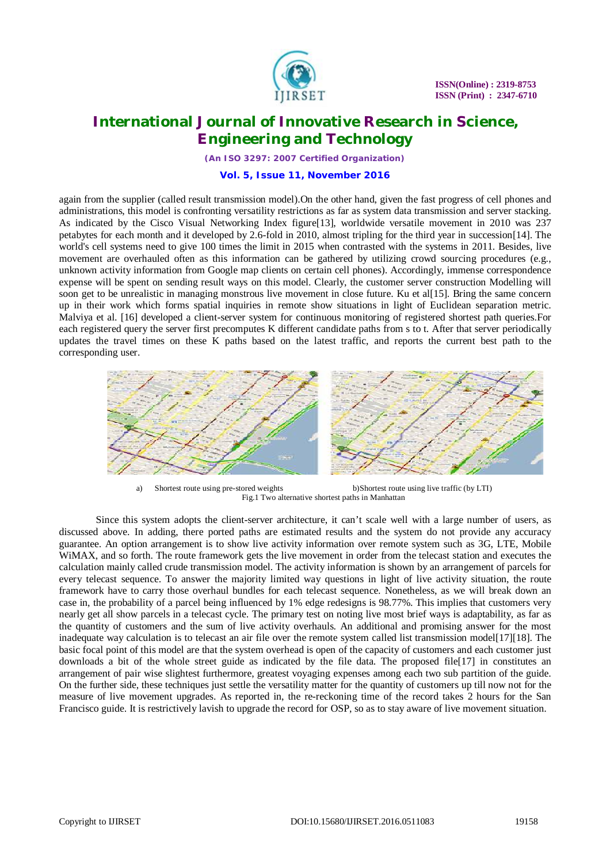

*(An ISO 3297: 2007 Certified Organization)*

## **Vol. 5, Issue 11, November 2016**

again from the supplier (called result transmission model).On the other hand, given the fast progress of cell phones and administrations, this model is confronting versatility restrictions as far as system data transmission and server stacking. As indicated by the Cisco Visual Networking Index figure[13], worldwide versatile movement in 2010 was 237 petabytes for each month and it developed by 2.6-fold in 2010, almost tripling for the third year in succession[14]. The world's cell systems need to give 100 times the limit in 2015 when contrasted with the systems in 2011. Besides, live movement are overhauled often as this information can be gathered by utilizing crowd sourcing procedures (e.g., unknown activity information from Google map clients on certain cell phones). Accordingly, immense correspondence expense will be spent on sending result ways on this model. Clearly, the customer server construction Modelling will soon get to be unrealistic in managing monstrous live movement in close future. Ku et al[15]. Bring the same concern up in their work which forms spatial inquiries in remote show situations in light of Euclidean separation metric. Malviya et al. [16] developed a client-server system for continuous monitoring of registered shortest path queries.For each registered query the server first precomputes K different candidate paths from s to t. After that server periodically updates the travel times on these K paths based on the latest traffic, and reports the current best path to the corresponding user.



a) Shortest route using pre-stored weights b)Shortest route using live traffic (by LTI) Fig.1 Two alternative shortest paths in Manhattan

Since this system adopts the client-server architecture, it can't scale well with a large number of users, as discussed above. In adding, there ported paths are estimated results and the system do not provide any accuracy guarantee. An option arrangement is to show live activity information over remote system such as 3G, LTE, Mobile WiMAX, and so forth. The route framework gets the live movement in order from the telecast station and executes the calculation mainly called crude transmission model. The activity information is shown by an arrangement of parcels for every telecast sequence. To answer the majority limited way questions in light of live activity situation, the route framework have to carry those overhaul bundles for each telecast sequence. Nonetheless, as we will break down an case in, the probability of a parcel being influenced by 1% edge redesigns is 98.77%. This implies that customers very nearly get all show parcels in a telecast cycle. The primary test on noting live most brief ways is adaptability, as far as the quantity of customers and the sum of live activity overhauls. An additional and promising answer for the most inadequate way calculation is to telecast an air file over the remote system called list transmission model[17][18]. The basic focal point of this model are that the system overhead is open of the capacity of customers and each customer just downloads a bit of the whole street guide as indicated by the file data. The proposed file[17] in constitutes an arrangement of pair wise slightest furthermore, greatest voyaging expenses among each two sub partition of the guide. On the further side, these techniques just settle the versatility matter for the quantity of customers up till now not for the measure of live movement upgrades. As reported in, the re-reckoning time of the record takes 2 hours for the San Francisco guide. It is restrictively lavish to upgrade the record for OSP, so as to stay aware of live movement situation.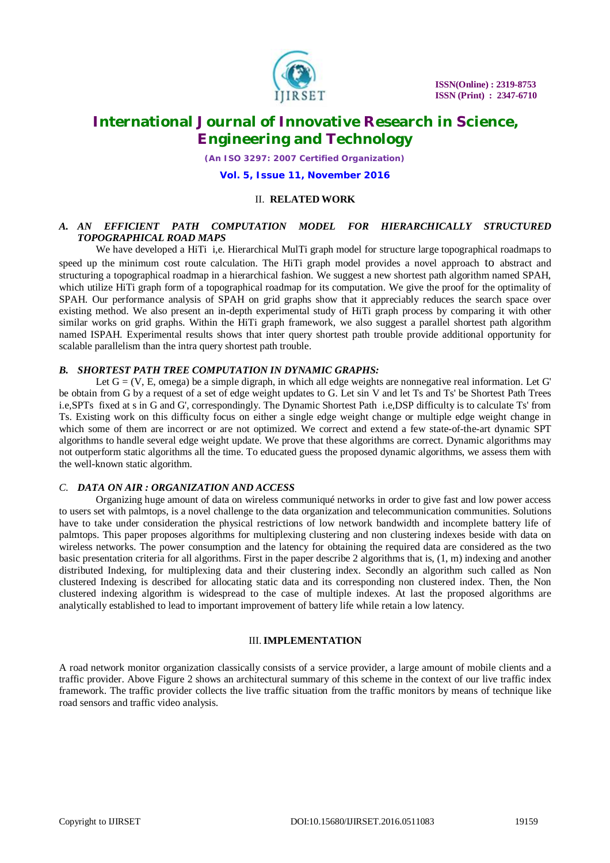

*(An ISO 3297: 2007 Certified Organization)*

**Vol. 5, Issue 11, November 2016**

# II. **RELATED WORK**

# *A. AN EFFICIENT PATH COMPUTATION MODEL FOR HIERARCHICALLY STRUCTURED TOPOGRAPHICAL ROAD MAPS*

We have developed a HiTi i,e. Hierarchical MulTi graph model for structure large topographical roadmaps to speed up the minimum cost route calculation. The HiTi graph model provides a novel approach to abstract and structuring a topographical roadmap in a hierarchical fashion. We suggest a new shortest path algorithm named SPAH, which utilize HiTi graph form of a topographical roadmap for its computation. We give the proof for the optimality of SPAH. Our performance analysis of SPAH on grid graphs show that it appreciably reduces the search space over existing method. We also present an in-depth experimental study of HiTi graph process by comparing it with other similar works on grid graphs. Within the HiTi graph framework, we also suggest a parallel shortest path algorithm named ISPAH. Experimental results shows that inter query shortest path trouble provide additional opportunity for scalable parallelism than the intra query shortest path trouble.

## *B. SHORTEST PATH TREE COMPUTATION IN DYNAMIC GRAPHS:*

Let G = (V, E, omega) be a simple digraph, in which all edge weights are nonnegative real information. Let G' be obtain from G by a request of a set of edge weight updates to G. Let sin V and let Ts and Ts' be Shortest Path Trees i.e,SPTs fixed at s in G and G', correspondingly. The Dynamic Shortest Path i.e,DSP difficulty is to calculate Ts' from Ts. Existing work on this difficulty focus on either a single edge weight change or multiple edge weight change in which some of them are incorrect or are not optimized. We correct and extend a few state-of-the-art dynamic SPT algorithms to handle several edge weight update. We prove that these algorithms are correct. Dynamic algorithms may not outperform static algorithms all the time. To educated guess the proposed dynamic algorithms, we assess them with the well-known static algorithm.

## *C. DATA ON AIR : ORGANIZATION AND ACCESS*

Organizing huge amount of data on wireless communiqué networks in order to give fast and low power access to users set with palmtops, is a novel challenge to the data organization and telecommunication communities. Solutions have to take under consideration the physical restrictions of low network bandwidth and incomplete battery life of palmtops. This paper proposes algorithms for multiplexing clustering and non clustering indexes beside with data on wireless networks. The power consumption and the latency for obtaining the required data are considered as the two basic presentation criteria for all algorithms. First in the paper describe 2 algorithms that is, (1, m) indexing and another distributed Indexing, for multiplexing data and their clustering index. Secondly an algorithm such called as Non clustered Indexing is described for allocating static data and its corresponding non clustered index. Then, the Non clustered indexing algorithm is widespread to the case of multiple indexes. At last the proposed algorithms are analytically established to lead to important improvement of battery life while retain a low latency.

### III.**IMPLEMENTATION**

A road network monitor organization classically consists of a service provider, a large amount of mobile clients and a traffic provider. Above Figure 2 shows an architectural summary of this scheme in the context of our live traffic index framework. The traffic provider collects the live traffic situation from the traffic monitors by means of technique like road sensors and traffic video analysis.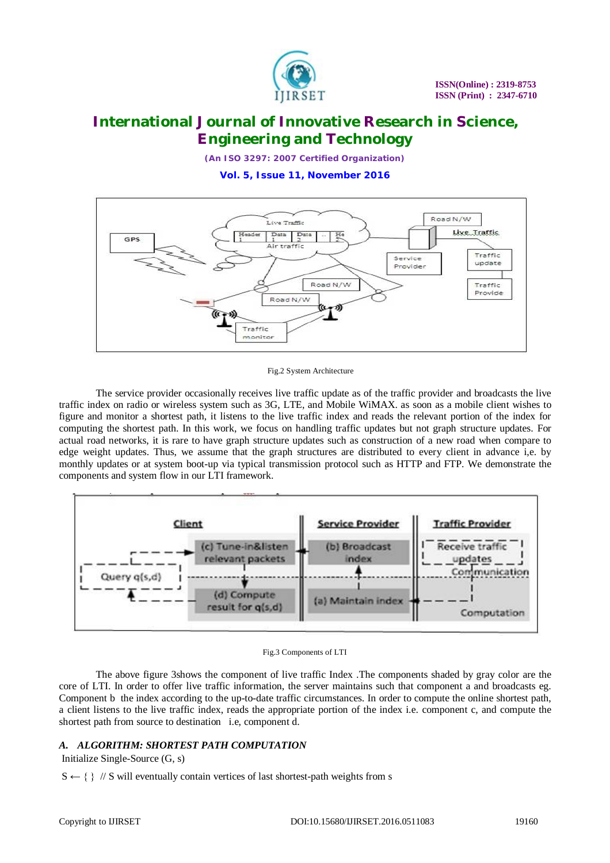

*(An ISO 3297: 2007 Certified Organization)*

**Vol. 5, Issue 11, November 2016**



Fig.2 System Architecture

The service provider occasionally receives live traffic update as of the traffic provider and broadcasts the live traffic index on radio or wireless system such as 3G, LTE, and Mobile WiMAX. as soon as a mobile client wishes to figure and monitor a shortest path, it listens to the live traffic index and reads the relevant portion of the index for computing the shortest path. In this work, we focus on handling traffic updates but not graph structure updates. For actual road networks, it is rare to have graph structure updates such as construction of a new road when compare to edge weight updates. Thus, we assume that the graph structures are distributed to every client in advance i,e. by monthly updates or at system boot-up via typical transmission protocol such as HTTP and FTP. We demonstrate the components and system flow in our LTI framework.





The above figure 3shows the component of live traffic Index .The components shaded by gray color are the core of LTI. In order to offer live traffic information, the server maintains such that component a and broadcasts eg. Component b the index according to the up-to-date traffic circumstances. In order to compute the online shortest path, a client listens to the live traffic index, reads the appropriate portion of the index i.e. component c, and compute the shortest path from source to destination i.e, component d.

# *A. ALGORITHM: SHORTEST PATH COMPUTATION*

Initialize Single-Source (G, s)

 $S \leftarrow \{\}$  // S will eventually contain vertices of last shortest-path weights from s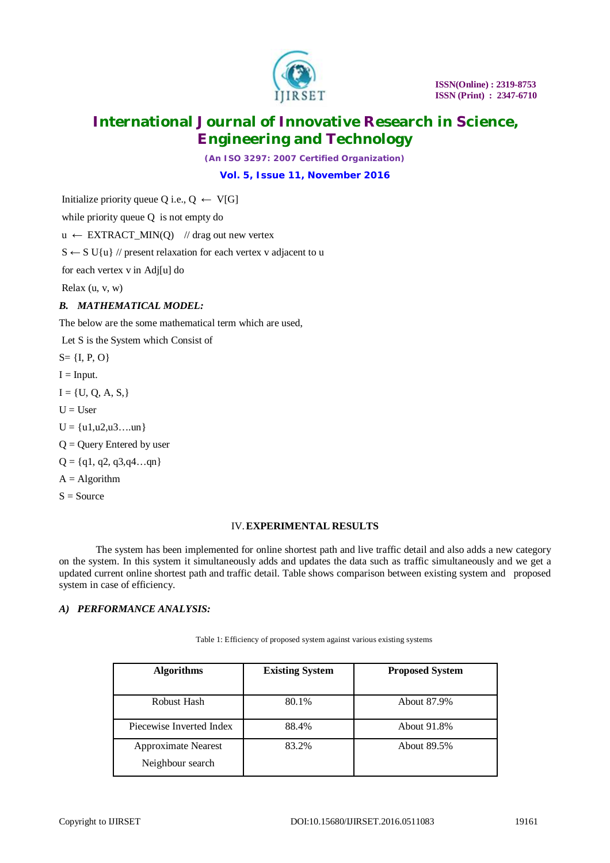

*(An ISO 3297: 2007 Certified Organization)*

**Vol. 5, Issue 11, November 2016**

Initialize priority queue Q i.e.,  $Q \leftarrow V[G]$ 

while priority queue Q is not empty do

 $u \leftarrow EXTRACT_MIN(Q)$  // drag out new vertex

 $S \leftarrow S \cup \{u\}$  // present relaxation for each vertex v adjacent to u

for each vertex v in Adj[u] do

Relax (u, v, w)

# *B. MATHEMATICAL MODEL:*

The below are the some mathematical term which are used,

Let S is the System which Consist of

 $S = \{I, P, O\}$ 

 $I = Input.$ 

 $I = \{U, Q, A, S\}$ 

 $U = User$ 

 $U = \{u1, u2, u3, \ldots un\}$ 

 $Q =$  Query Entered by user

 $Q = \{q1, q2, q3, q4...qn\}$ 

- $A = Algorithm$
- $S = Source$

### IV.**EXPERIMENTAL RESULTS**

The system has been implemented for online shortest path and live traffic detail and also adds a new category on the system. In this system it simultaneously adds and updates the data such as traffic simultaneously and we get a updated current online shortest path and traffic detail. Table shows comparison between existing system and proposed system in case of efficiency.

# *A) PERFORMANCE ANALYSIS:*

| <b>Algorithms</b>          | <b>Existing System</b> | <b>Proposed System</b> |
|----------------------------|------------------------|------------------------|
|                            |                        |                        |
| Robust Hash                | 80.1%                  | About 87.9%            |
|                            |                        |                        |
| Piecewise Inverted Index   | 88.4%                  | About 91.8%            |
| <b>Approximate Nearest</b> | 83.2%                  | About 89.5%            |
|                            |                        |                        |
| Neighbour search           |                        |                        |
|                            |                        |                        |

Table 1: Efficiency of proposed system against various existing systems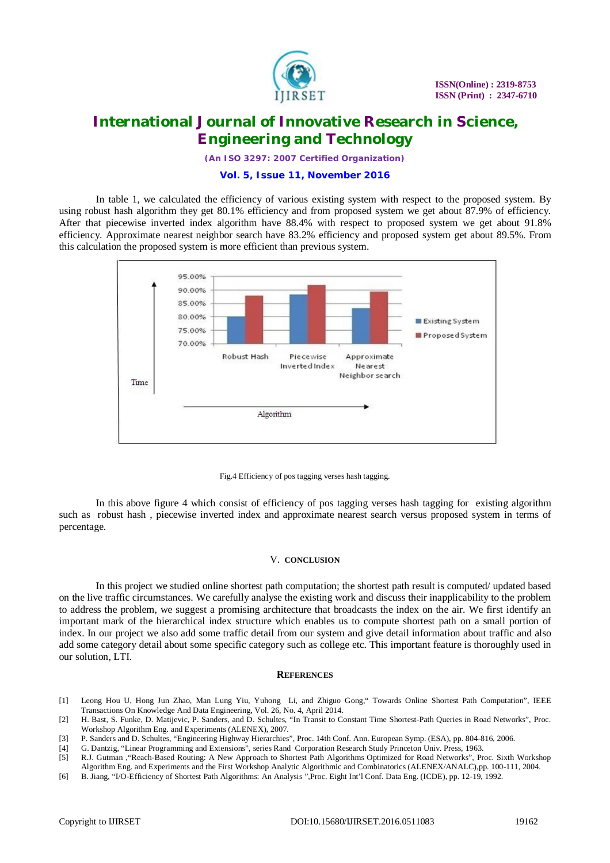

*(An ISO 3297: 2007 Certified Organization)*

# **Vol. 5, Issue 11, November 2016**

In table 1, we calculated the efficiency of various existing system with respect to the proposed system. By using robust hash algorithm they get 80.1% efficiency and from proposed system we get about 87.9% of efficiency. After that piecewise inverted index algorithm have 88.4% with respect to proposed system we get about 91.8% efficiency. Approximate nearest neighbor search have 83.2% efficiency and proposed system get about 89.5%. From this calculation the proposed system is more efficient than previous system.





In this above figure 4 which consist of efficiency of pos tagging verses hash tagging for existing algorithm such as robust hash , piecewise inverted index and approximate nearest search versus proposed system in terms of percentage.

### V. **CONCLUSION**

In this project we studied online shortest path computation; the shortest path result is computed/ updated based on the live traffic circumstances. We carefully analyse the existing work and discuss their inapplicability to the problem to address the problem, we suggest a promising architecture that broadcasts the index on the air. We first identify an important mark of the hierarchical index structure which enables us to compute shortest path on a small portion of index. In our project we also add some traffic detail from our system and give detail information about traffic and also add some category detail about some specific category such as college etc. This important feature is thoroughly used in our solution, LTI.

#### **REFERENCES**

[1] Leong Hou U, Hong Jun Zhao, Man Lung Yiu, Yuhong Li, and Zhiguo Gong," Towards Online Shortest Path Computation", IEEE Transactions On Knowledge And Data Engineering, Vol. 26, No. 4, April 2014.

[4] G. Dantzig, "Linear Programming and Extensions", series Rand Corporation Research Study Princeton Univ. Press, 1963.

<sup>[2]</sup> H. Bast, S. Funke, D. Matijevic, P. Sanders, and D. Schultes, "In Transit to Constant Time Shortest-Path Queries in Road Networks", Proc. Workshop Algorithm Eng. and Experiments (ALENEX), 2007.

<sup>[3]</sup> P. Sanders and D. Schultes, "Engineering Highway Hierarchies", Proc. 14th Conf. Ann. European Symp. (ESA), pp. 804-816, 2006.

<sup>[5]</sup> R.J. Gutman ,"Reach-Based Routing: A New Approach to Shortest Path Algorithms Optimized for Road Networks", Proc. Sixth Workshop Algorithm Eng. and Experiments and the First Workshop Analytic Algorithmic and Combinatorics (ALENEX/ANALC),pp. 100-111, 2004.

<sup>[6]</sup> B. Jiang, "I/O-Efficiency of Shortest Path Algorithms: An Analysis ",Proc. Eight Int'l Conf. Data Eng. (ICDE), pp. 12-19, 1992.